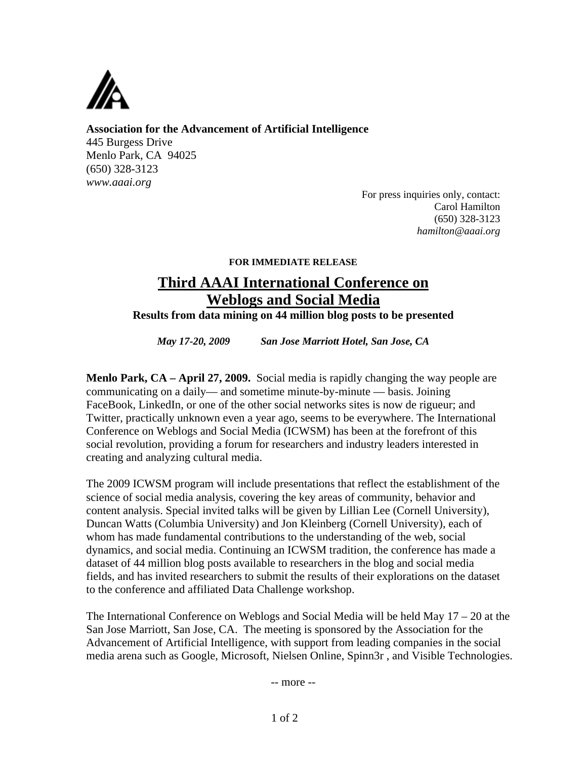

**Association for the Advancement of Artificial Intelligence**  445 Burgess Drive Menlo Park, CA 94025 (650) 328-3123 *www.aaai.org* 

> For press inquiries only, contact: Carol Hamilton (650) 328-3123 *hamilton@aaai.org*

## **FOR IMMEDIATE RELEASE**

## **Third AAAI International Conference on Weblogs and Social Media**

**Results from data mining on 44 million blog posts to be presented** 

*May 17-20, 2009 San Jose Marriott Hotel, San Jose, CA* 

**Menlo Park, CA – April 27, 2009.** Social media is rapidly changing the way people are communicating on a daily— and sometime minute-by-minute — basis. Joining FaceBook, LinkedIn, or one of the other social networks sites is now de rigueur; and Twitter, practically unknown even a year ago, seems to be everywhere. The International Conference on Weblogs and Social Media (ICWSM) has been at the forefront of this social revolution, providing a forum for researchers and industry leaders interested in creating and analyzing cultural media.

The 2009 ICWSM program will include presentations that reflect the establishment of the science of social media analysis, covering the key areas of community, behavior and content analysis. Special invited talks will be given by Lillian Lee (Cornell University), Duncan Watts (Columbia University) and Jon Kleinberg (Cornell University), each of whom has made fundamental contributions to the understanding of the web, social dynamics, and social media. Continuing an ICWSM tradition, the conference has made a dataset of 44 million blog posts available to researchers in the blog and social media fields, and has invited researchers to submit the results of their explorations on the dataset to the conference and affiliated Data Challenge workshop.

The International Conference on Weblogs and Social Media will be held May 17 – 20 at the San Jose Marriott, San Jose, CA. The meeting is sponsored by the Association for the Advancement of Artificial Intelligence, with support from leading companies in the social media arena such as Google, Microsoft, Nielsen Online, Spinn3r , and Visible Technologies.

-- more --